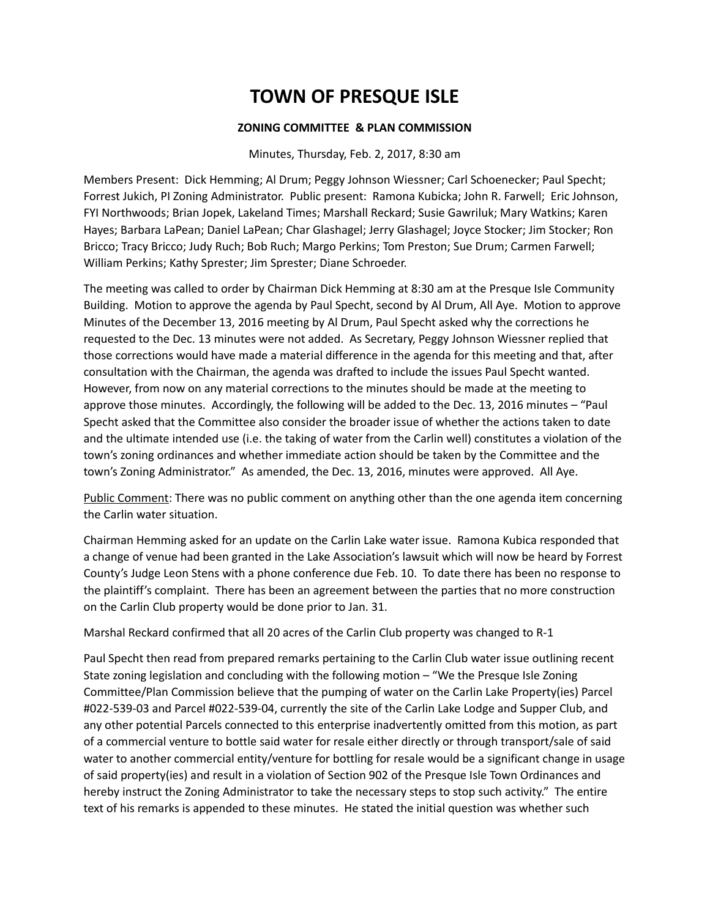### **ZONING COMMITTEE & PLAN COMMISSION**

#### Minutes, Thursday, Feb. 2, 2017, 8:30 am

Members Present: Dick Hemming; Al Drum; Peggy Johnson Wiessner; Carl Schoenecker; Paul Specht; Forrest Jukich, PI Zoning Administrator. Public present: Ramona Kubicka; John R. Farwell; Eric Johnson, FYI Northwoods; Brian Jopek, Lakeland Times; Marshall Reckard; Susie Gawriluk; Mary Watkins; Karen Hayes; Barbara LaPean; Daniel LaPean; Char Glashagel; Jerry Glashagel; Joyce Stocker; Jim Stocker; Ron Bricco; Tracy Bricco; Judy Ruch; Bob Ruch; Margo Perkins; Tom Preston; Sue Drum; Carmen Farwell; William Perkins; Kathy Sprester; Jim Sprester; Diane Schroeder.

The meeting was called to order by Chairman Dick Hemming at 8:30 am at the Presque Isle Community Building. Motion to approve the agenda by Paul Specht, second by Al Drum, All Aye. Motion to approve Minutes of the December 13, 2016 meeting by Al Drum, Paul Specht asked why the corrections he requested to the Dec. 13 minutes were not added. As Secretary, Peggy Johnson Wiessner replied that those corrections would have made a material difference in the agenda for this meeting and that, after consultation with the Chairman, the agenda was drafted to include the issues Paul Specht wanted. However, from now on any material corrections to the minutes should be made at the meeting to approve those minutes. Accordingly, the following will be added to the Dec. 13, 2016 minutes – "Paul Specht asked that the Committee also consider the broader issue of whether the actions taken to date and the ultimate intended use (i.e. the taking of water from the Carlin well) constitutes a violation of the town's zoning ordinances and whether immediate action should be taken by the Committee and the town's Zoning Administrator." As amended, the Dec. 13, 2016, minutes were approved. All Aye.

Public Comment: There was no public comment on anything other than the one agenda item concerning the Carlin water situation.

Chairman Hemming asked for an update on the Carlin Lake water issue. Ramona Kubica responded that a change of venue had been granted in the Lake Association's lawsuit which will now be heard by Forrest County's Judge Leon Stens with a phone conference due Feb. 10. To date there has been no response to the plaintiff's complaint. There has been an agreement between the parties that no more construction on the Carlin Club property would be done prior to Jan. 31.

Marshal Reckard confirmed that all 20 acres of the Carlin Club property was changed to R-1

Paul Specht then read from prepared remarks pertaining to the Carlin Club water issue outlining recent State zoning legislation and concluding with the following motion – "We the Presque Isle Zoning Committee/Plan Commission believe that the pumping of water on the Carlin Lake Property(ies) Parcel #022-539-03 and Parcel #022-539-04, currently the site of the Carlin Lake Lodge and Supper Club, and any other potential Parcels connected to this enterprise inadvertently omitted from this motion, as part of a commercial venture to bottle said water for resale either directly or through transport/sale of said water to another commercial entity/venture for bottling for resale would be a significant change in usage of said property(ies) and result in a violation of Section 902 of the Presque Isle Town Ordinances and hereby instruct the Zoning Administrator to take the necessary steps to stop such activity." The entire text of his remarks is appended to these minutes. He stated the initial question was whether such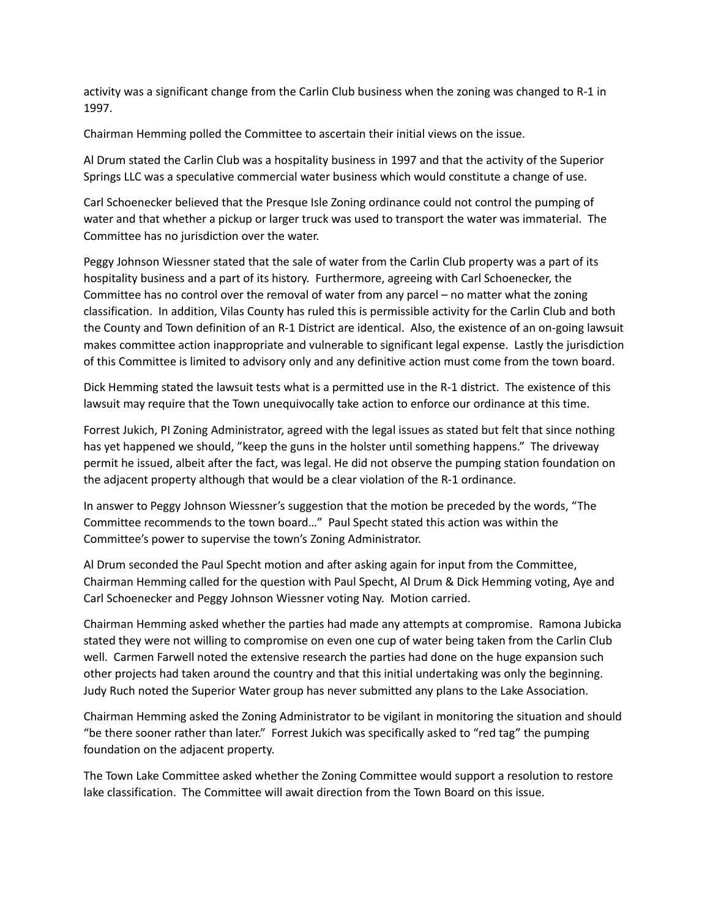activity was a significant change from the Carlin Club business when the zoning was changed to R-1 in 1997.

Chairman Hemming polled the Committee to ascertain their initial views on the issue.

Al Drum stated the Carlin Club was a hospitality business in 1997 and that the activity of the Superior Springs LLC was a speculative commercial water business which would constitute a change of use.

Carl Schoenecker believed that the Presque Isle Zoning ordinance could not control the pumping of water and that whether a pickup or larger truck was used to transport the water was immaterial. The Committee has no jurisdiction over the water.

Peggy Johnson Wiessner stated that the sale of water from the Carlin Club property was a part of its hospitality business and a part of its history. Furthermore, agreeing with Carl Schoenecker, the Committee has no control over the removal of water from any parcel – no matter what the zoning classification. In addition, Vilas County has ruled this is permissible activity for the Carlin Club and both the County and Town definition of an R-1 District are identical. Also, the existence of an on-going lawsuit makes committee action inappropriate and vulnerable to significant legal expense. Lastly the jurisdiction of this Committee is limited to advisory only and any definitive action must come from the town board.

Dick Hemming stated the lawsuit tests what is a permitted use in the R-1 district. The existence of this lawsuit may require that the Town unequivocally take action to enforce our ordinance at this time.

Forrest Jukich, PI Zoning Administrator, agreed with the legal issues as stated but felt that since nothing has yet happened we should, "keep the guns in the holster until something happens." The driveway permit he issued, albeit after the fact, was legal. He did not observe the pumping station foundation on the adjacent property although that would be a clear violation of the R-1 ordinance.

In answer to Peggy Johnson Wiessner's suggestion that the motion be preceded by the words, "The Committee recommends to the town board…" Paul Specht stated this action was within the Committee's power to supervise the town's Zoning Administrator.

Al Drum seconded the Paul Specht motion and after asking again for input from the Committee, Chairman Hemming called for the question with Paul Specht, Al Drum & Dick Hemming voting, Aye and Carl Schoenecker and Peggy Johnson Wiessner voting Nay. Motion carried.

Chairman Hemming asked whether the parties had made any attempts at compromise. Ramona Jubicka stated they were not willing to compromise on even one cup of water being taken from the Carlin Club well. Carmen Farwell noted the extensive research the parties had done on the huge expansion such other projects had taken around the country and that this initial undertaking was only the beginning. Judy Ruch noted the Superior Water group has never submitted any plans to the Lake Association.

Chairman Hemming asked the Zoning Administrator to be vigilant in monitoring the situation and should "be there sooner rather than later." Forrest Jukich was specifically asked to "red tag" the pumping foundation on the adjacent property.

The Town Lake Committee asked whether the Zoning Committee would support a resolution to restore lake classification. The Committee will await direction from the Town Board on this issue.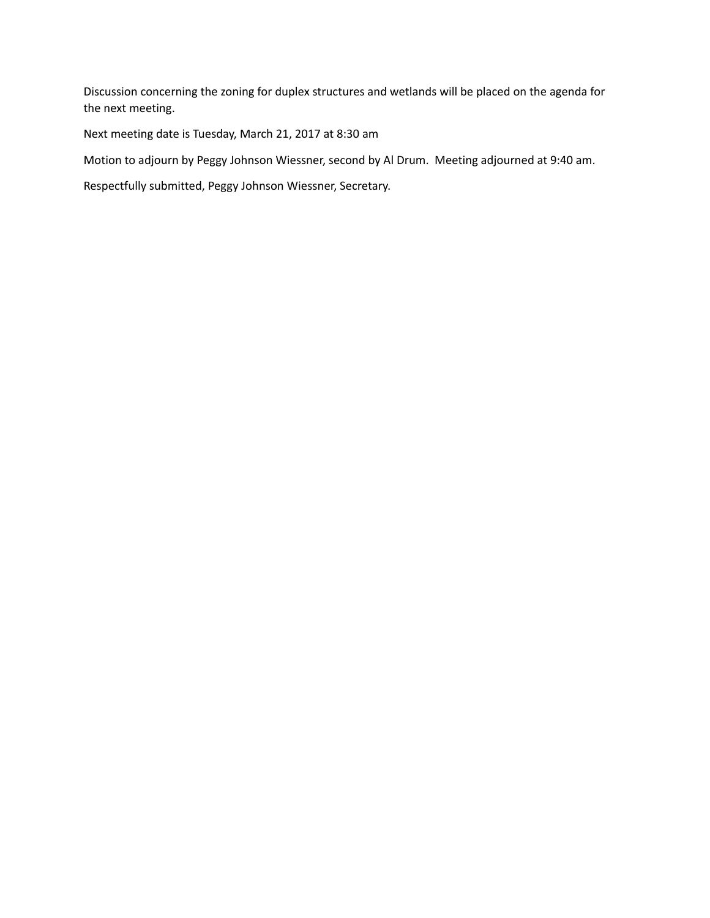Discussion concerning the zoning for duplex structures and wetlands will be placed on the agenda for the next meeting.

Next meeting date is Tuesday, March 21, 2017 at 8:30 am

Motion to adjourn by Peggy Johnson Wiessner, second by Al Drum. Meeting adjourned at 9:40 am.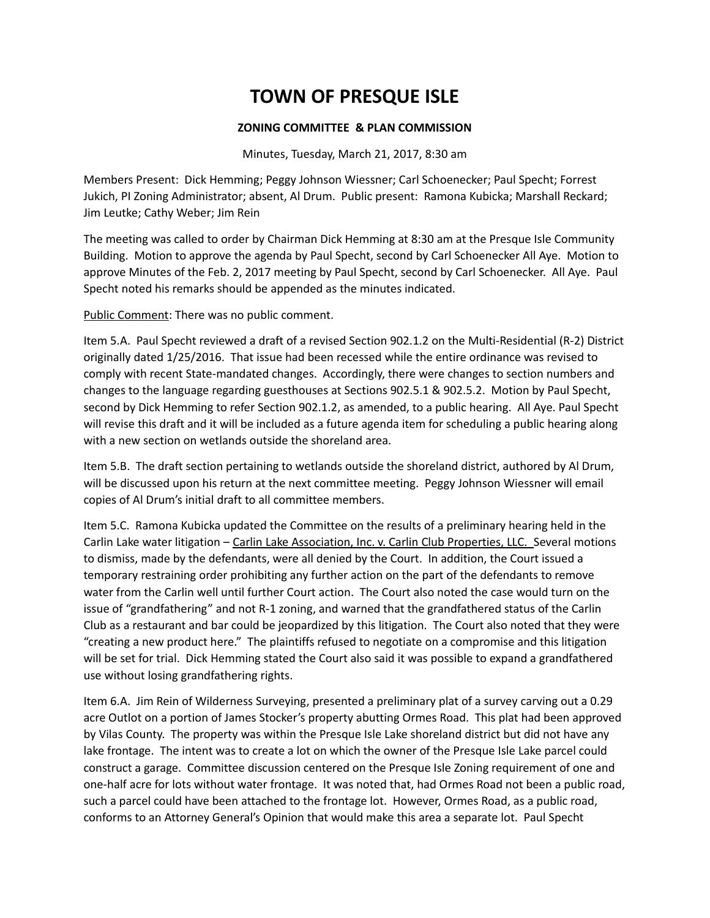### **ZONING COMMITTEE & PLAN COMMISSION**

Minutes, Tuesday, March 21, 2017, 8:30 am

Members Present: Dick Hemming; Peggy Johnson Wiessner; Carl Schoenecker; Paul Specht; Forrest Jukich, PI Zoning Administrator; absent, Al Drum. Public present: Ramona Kubicka; Marshall Reckard; Jim Leutke; Cathy Weber; Jim Rein

The meeting was called to order by Chairman Dick Hemming at 8:30 am at the Presque Isle Community Building. Motion to approve the agenda by Paul Specht, second by Carl Schoenecker All Aye. Motion to approve Minutes of the Feb. 2, 2017 meeting by Paul Specht, second by Carl Schoenecker. All Aye. Paul Specht noted his remarks should be appended as the minutes indicated.

Public Comment: There was no public comment.

Item 5.A. Paul Specht reviewed a draft of a revised Section 902.1.2 on the Multi-Residential (R-2) District originally dated 1/25/2016. That issue had been recessed while the entire ordinance was revised to comply with recent State-mandated changes. Accordingly, there were changes to section numbers and changes to the language regarding guesthouses at Sections 902.5.1 & 902.5.2. Motion by Paul Specht, second by Dick Hemming to refer Section 902.1.2, as amended, to a public hearing. All Aye. Paul Specht will revise this draft and it will be included as a future agenda item for scheduling a public hearing along with a new section on wetlands outside the shoreland area.

Item 5.B. The draft section pertaining to wetlands outside the shoreland district, authored by Al Drum, will be discussed upon his return at the next committee meeting. Peggy Johnson Wiessner will email copies of Al Drum's initial draft to all committee members.

Item 5.C. Ramona Kubicka updated the Committee on the results of a preliminary hearing held in the Carlin Lake water litigation – Carlin Lake Association, Inc. v. Carlin Club Properties, LLC. Several motions to dismiss, made by the defendants, were all denied by the Court. In addition, the Court issued a temporary restraining order prohibiting any further action on the part of the defendants to remove water from the Carlin well until further Court action. The Court also noted the case would turn on the issue of "grandfathering" and not R-1 zoning, and warned that the grandfathered status of the Carlin Club as a restaurant and bar could be jeopardized by this litigation. The Court also noted that they were "creating a new product here." The plaintiffs refused to negotiate on a compromise and this litigation will be set for trial. Dick Hemming stated the Court also said it was possible to expand a grandfathered use without losing grandfathering rights.

Item 6.A. Jim Rein of Wilderness Surveying, presented a preliminary plat of a survey carving out a 0.29 acre Outlot on a portion of James Stocker's property abutting Ormes Road. This plat had been approved by Vilas County. The property was within the Presque Isle Lake shoreland district but did not have any lake frontage. The intent was to create a lot on which the owner of the Presque Isle Lake parcel could construct a garage. Committee discussion centered on the Presque Isle Zoning requirement of one and one-half acre for lots without water frontage. It was noted that, had Ormes Road not been a public road, such a parcel could have been attached to the frontage lot. However, Ormes Road, as a public road, conforms to an Attorney General's Opinion that would make this area a separate lot. Paul Specht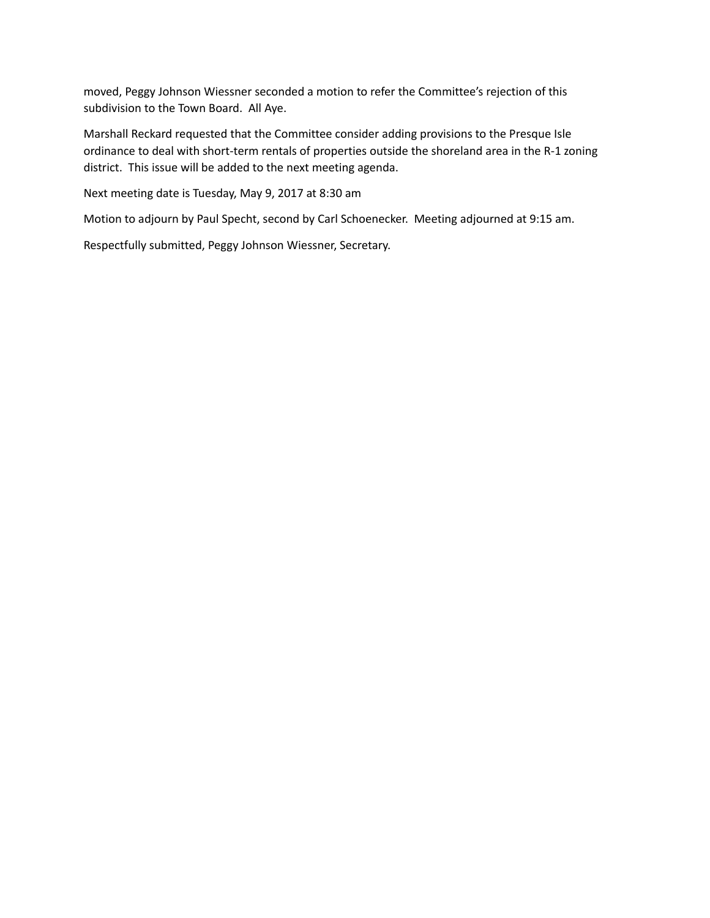moved, Peggy Johnson Wiessner seconded a motion to refer the Committee's rejection of this subdivision to the Town Board. All Aye.

Marshall Reckard requested that the Committee consider adding provisions to the Presque Isle ordinance to deal with short-term rentals of properties outside the shoreland area in the R-1 zoning district. This issue will be added to the next meeting agenda.

Next meeting date is Tuesday, May 9, 2017 at 8:30 am

Motion to adjourn by Paul Specht, second by Carl Schoenecker. Meeting adjourned at 9:15 am.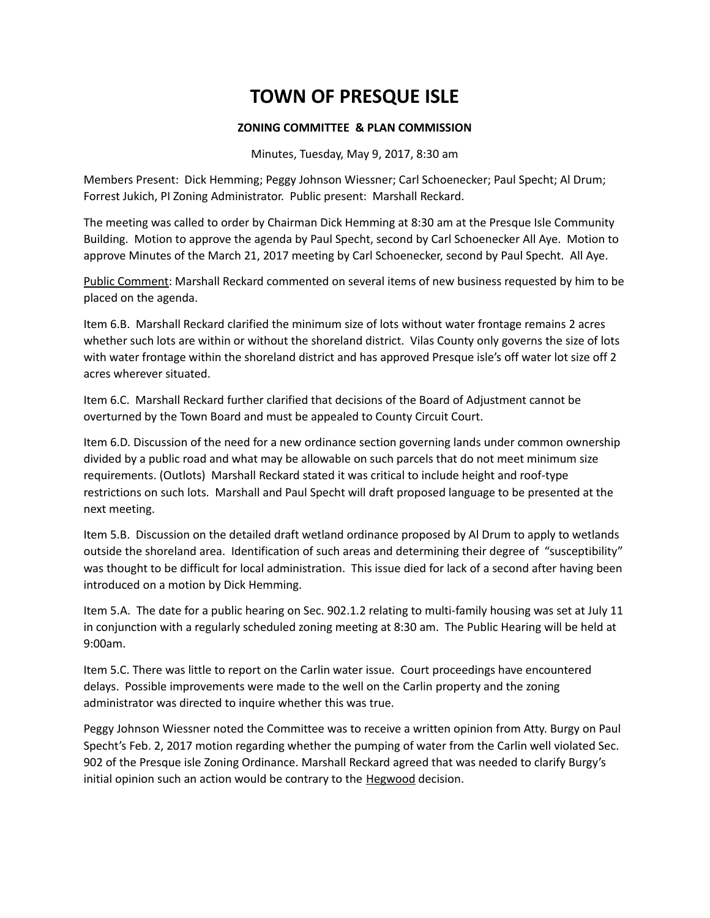### **ZONING COMMITTEE & PLAN COMMISSION**

Minutes, Tuesday, May 9, 2017, 8:30 am

Members Present: Dick Hemming; Peggy Johnson Wiessner; Carl Schoenecker; Paul Specht; Al Drum; Forrest Jukich, PI Zoning Administrator. Public present: Marshall Reckard.

The meeting was called to order by Chairman Dick Hemming at 8:30 am at the Presque Isle Community Building. Motion to approve the agenda by Paul Specht, second by Carl Schoenecker All Aye. Motion to approve Minutes of the March 21, 2017 meeting by Carl Schoenecker, second by Paul Specht. All Aye.

Public Comment: Marshall Reckard commented on several items of new business requested by him to be placed on the agenda.

Item 6.B. Marshall Reckard clarified the minimum size of lots without water frontage remains 2 acres whether such lots are within or without the shoreland district. Vilas County only governs the size of lots with water frontage within the shoreland district and has approved Presque isle's off water lot size off 2 acres wherever situated.

Item 6.C. Marshall Reckard further clarified that decisions of the Board of Adjustment cannot be overturned by the Town Board and must be appealed to County Circuit Court.

Item 6.D. Discussion of the need for a new ordinance section governing lands under common ownership divided by a public road and what may be allowable on such parcels that do not meet minimum size requirements. (Outlots) Marshall Reckard stated it was critical to include height and roof-type restrictions on such lots. Marshall and Paul Specht will draft proposed language to be presented at the next meeting.

Item 5.B. Discussion on the detailed draft wetland ordinance proposed by Al Drum to apply to wetlands outside the shoreland area. Identification of such areas and determining their degree of "susceptibility" was thought to be difficult for local administration. This issue died for lack of a second after having been introduced on a motion by Dick Hemming.

Item 5.A. The date for a public hearing on Sec. 902.1.2 relating to multi-family housing was set at July 11 in conjunction with a regularly scheduled zoning meeting at 8:30 am. The Public Hearing will be held at 9:00am.

Item 5.C. There was little to report on the Carlin water issue. Court proceedings have encountered delays. Possible improvements were made to the well on the Carlin property and the zoning administrator was directed to inquire whether this was true.

Peggy Johnson Wiessner noted the Committee was to receive a written opinion from Atty. Burgy on Paul Specht's Feb. 2, 2017 motion regarding whether the pumping of water from the Carlin well violated Sec. 902 of the Presque isle Zoning Ordinance. Marshall Reckard agreed that was needed to clarify Burgy's initial opinion such an action would be contrary to the **Hegwood** decision.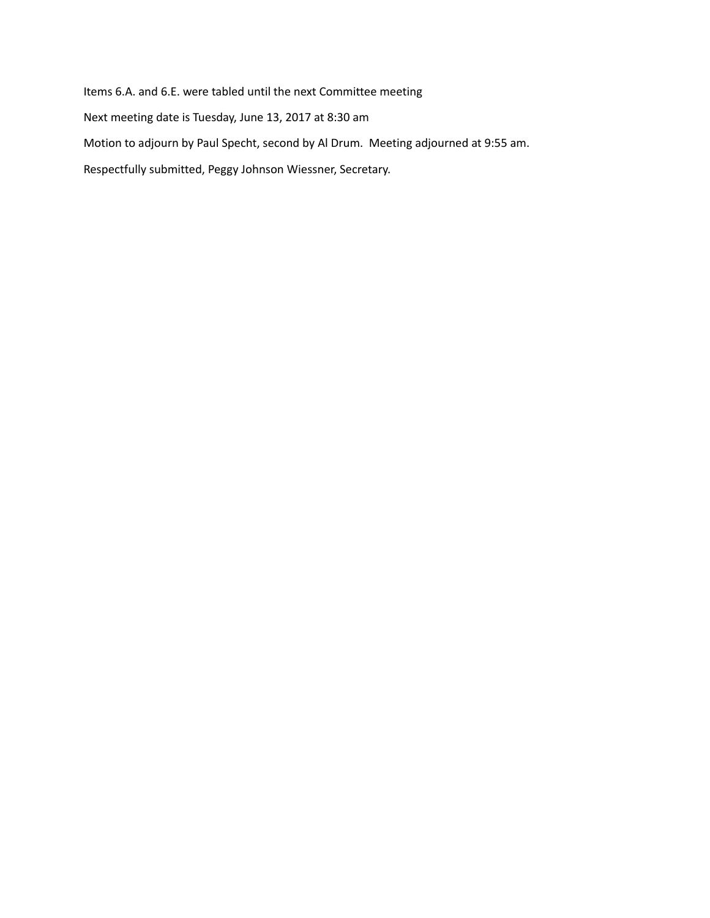Items 6.A. and 6.E. were tabled until the next Committee meeting

Next meeting date is Tuesday, June 13, 2017 at 8:30 am

Motion to adjourn by Paul Specht, second by Al Drum. Meeting adjourned at 9:55 am.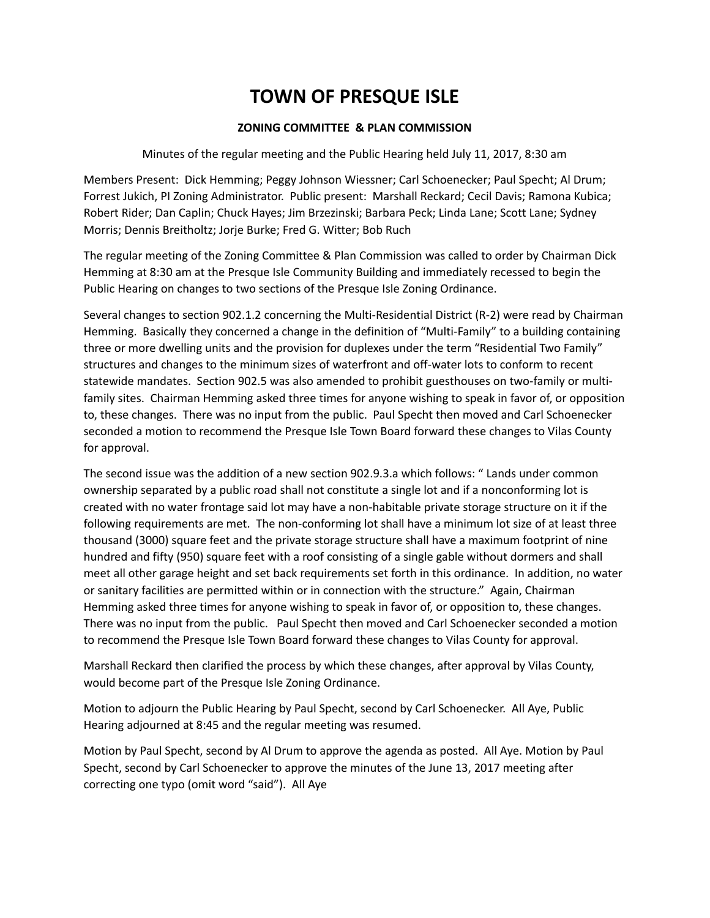### **ZONING COMMITTEE & PLAN COMMISSION**

Minutes of the regular meeting and the Public Hearing held July 11, 2017, 8:30 am

Members Present: Dick Hemming; Peggy Johnson Wiessner; Carl Schoenecker; Paul Specht; Al Drum; Forrest Jukich, PI Zoning Administrator. Public present: Marshall Reckard; Cecil Davis; Ramona Kubica; Robert Rider; Dan Caplin; Chuck Hayes; Jim Brzezinski; Barbara Peck; Linda Lane; Scott Lane; Sydney Morris; Dennis Breitholtz; Jorje Burke; Fred G. Witter; Bob Ruch

The regular meeting of the Zoning Committee & Plan Commission was called to order by Chairman Dick Hemming at 8:30 am at the Presque Isle Community Building and immediately recessed to begin the Public Hearing on changes to two sections of the Presque Isle Zoning Ordinance.

Several changes to section 902.1.2 concerning the Multi-Residential District (R-2) were read by Chairman Hemming. Basically they concerned a change in the definition of "Multi-Family" to a building containing three or more dwelling units and the provision for duplexes under the term "Residential Two Family" structures and changes to the minimum sizes of waterfront and off-water lots to conform to recent statewide mandates. Section 902.5 was also amended to prohibit guesthouses on two-family or multifamily sites. Chairman Hemming asked three times for anyone wishing to speak in favor of, or opposition to, these changes. There was no input from the public. Paul Specht then moved and Carl Schoenecker seconded a motion to recommend the Presque Isle Town Board forward these changes to Vilas County for approval.

The second issue was the addition of a new section 902.9.3.a which follows: " Lands under common ownership separated by a public road shall not constitute a single lot and if a nonconforming lot is created with no water frontage said lot may have a non-habitable private storage structure on it if the following requirements are met. The non-conforming lot shall have a minimum lot size of at least three thousand (3000) square feet and the private storage structure shall have a maximum footprint of nine hundred and fifty (950) square feet with a roof consisting of a single gable without dormers and shall meet all other garage height and set back requirements set forth in this ordinance. In addition, no water or sanitary facilities are permitted within or in connection with the structure." Again, Chairman Hemming asked three times for anyone wishing to speak in favor of, or opposition to, these changes. There was no input from the public. Paul Specht then moved and Carl Schoenecker seconded a motion to recommend the Presque Isle Town Board forward these changes to Vilas County for approval.

Marshall Reckard then clarified the process by which these changes, after approval by Vilas County, would become part of the Presque Isle Zoning Ordinance.

Motion to adjourn the Public Hearing by Paul Specht, second by Carl Schoenecker. All Aye, Public Hearing adjourned at 8:45 and the regular meeting was resumed.

Motion by Paul Specht, second by Al Drum to approve the agenda as posted. All Aye. Motion by Paul Specht, second by Carl Schoenecker to approve the minutes of the June 13, 2017 meeting after correcting one typo (omit word "said"). All Aye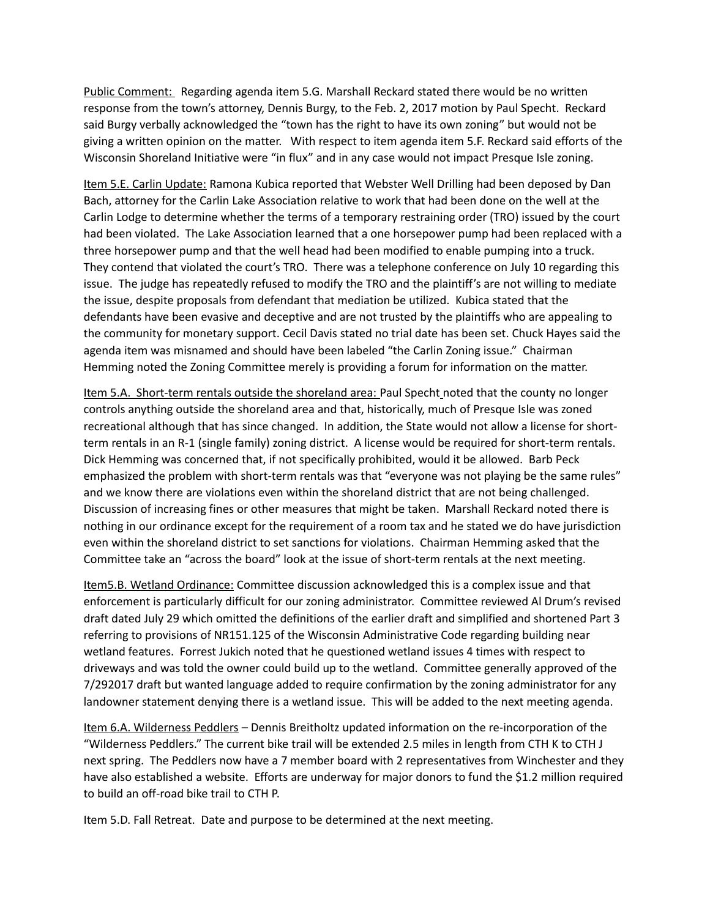Public Comment: Regarding agenda item 5.G. Marshall Reckard stated there would be no written response from the town's attorney, Dennis Burgy, to the Feb. 2, 2017 motion by Paul Specht. Reckard said Burgy verbally acknowledged the "town has the right to have its own zoning" but would not be giving a written opinion on the matter. With respect to item agenda item 5.F. Reckard said efforts of the Wisconsin Shoreland Initiative were "in flux" and in any case would not impact Presque Isle zoning.

Item 5.E. Carlin Update: Ramona Kubica reported that Webster Well Drilling had been deposed by Dan Bach, attorney for the Carlin Lake Association relative to work that had been done on the well at the Carlin Lodge to determine whether the terms of a temporary restraining order (TRO) issued by the court had been violated. The Lake Association learned that a one horsepower pump had been replaced with a three horsepower pump and that the well head had been modified to enable pumping into a truck. They contend that violated the court's TRO. There was a telephone conference on July 10 regarding this issue. The judge has repeatedly refused to modify the TRO and the plaintiff's are not willing to mediate the issue, despite proposals from defendant that mediation be utilized. Kubica stated that the defendants have been evasive and deceptive and are not trusted by the plaintiffs who are appealing to the community for monetary support. Cecil Davis stated no trial date has been set. Chuck Hayes said the agenda item was misnamed and should have been labeled "the Carlin Zoning issue." Chairman Hemming noted the Zoning Committee merely is providing a forum for information on the matter.

Item 5.A. Short-term rentals outside the shoreland area: Paul Specht noted that the county no longer controls anything outside the shoreland area and that, historically, much of Presque Isle was zoned recreational although that has since changed. In addition, the State would not allow a license for shortterm rentals in an R-1 (single family) zoning district. A license would be required for short-term rentals. Dick Hemming was concerned that, if not specifically prohibited, would it be allowed. Barb Peck emphasized the problem with short-term rentals was that "everyone was not playing be the same rules" and we know there are violations even within the shoreland district that are not being challenged. Discussion of increasing fines or other measures that might be taken. Marshall Reckard noted there is nothing in our ordinance except for the requirement of a room tax and he stated we do have jurisdiction even within the shoreland district to set sanctions for violations. Chairman Hemming asked that the Committee take an "across the board" look at the issue of short-term rentals at the next meeting.

Item5.B. Wetland Ordinance: Committee discussion acknowledged this is a complex issue and that enforcement is particularly difficult for our zoning administrator. Committee reviewed Al Drum's revised draft dated July 29 which omitted the definitions of the earlier draft and simplified and shortened Part 3 referring to provisions of NR151.125 of the Wisconsin Administrative Code regarding building near wetland features. Forrest Jukich noted that he questioned wetland issues 4 times with respect to driveways and was told the owner could build up to the wetland. Committee generally approved of the 7/292017 draft but wanted language added to require confirmation by the zoning administrator for any landowner statement denying there is a wetland issue. This will be added to the next meeting agenda.

Item 6.A. Wilderness Peddlers – Dennis Breitholtz updated information on the re-incorporation of the "Wilderness Peddlers." The current bike trail will be extended 2.5 miles in length from CTH K to CTH J next spring. The Peddlers now have a 7 member board with 2 representatives from Winchester and they have also established a website. Efforts are underway for major donors to fund the \$1.2 million required to build an off-road bike trail to CTH P.

Item 5.D. Fall Retreat. Date and purpose to be determined at the next meeting.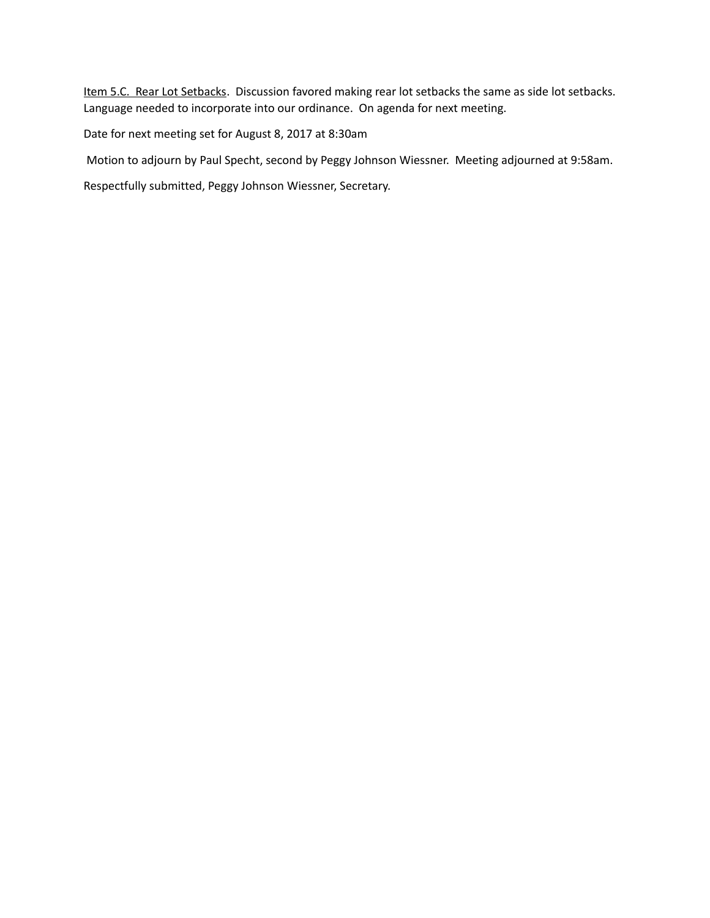Item 5.C. Rear Lot Setbacks. Discussion favored making rear lot setbacks the same as side lot setbacks. Language needed to incorporate into our ordinance. On agenda for next meeting.

Date for next meeting set for August 8, 2017 at 8:30am

Motion to adjourn by Paul Specht, second by Peggy Johnson Wiessner. Meeting adjourned at 9:58am.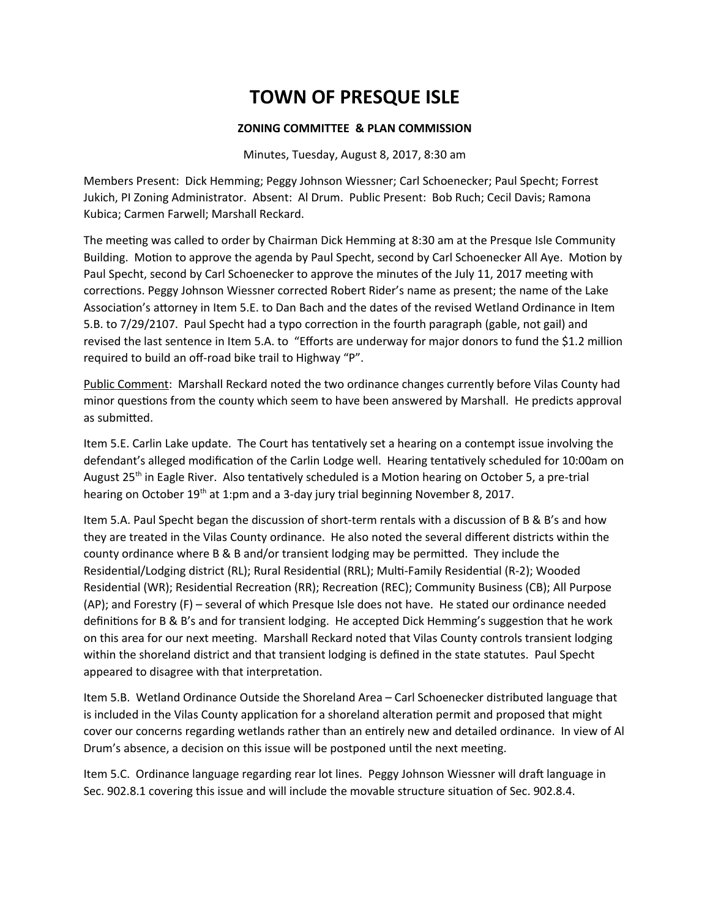### **ZONING COMMITTEE & PLAN COMMISSION**

Minutes, Tuesday, August 8, 2017, 8:30 am

Members Present: Dick Hemming; Peggy Johnson Wiessner; Carl Schoenecker; Paul Specht; Forrest Jukich, PI Zoning Administrator. Absent: Al Drum. Public Present: Bob Ruch; Cecil Davis; Ramona Kubica; Carmen Farwell; Marshall Reckard.

The meeting was called to order by Chairman Dick Hemming at 8:30 am at the Presque Isle Community Building. Motion to approve the agenda by Paul Specht, second by Carl Schoenecker All Aye. Motion by Paul Specht, second by Carl Schoenecker to approve the minutes of the July 11, 2017 meetng with corrections. Peggy Johnson Wiessner corrected Robert Rider's name as present; the name of the Lake Association's attorney in Item 5.E. to Dan Bach and the dates of the revised Wetland Ordinance in Item 5.B. to 7/29/2107. Paul Specht had a typo correcton in the fourth paragraph (gable, not gail) and revised the last sentence in Item 5.A. to "Eforts are underway for major donors to fund the \$1.2 million required to build an off-road bike trail to Highway "P".

Public Comment: Marshall Reckard noted the two ordinance changes currently before Vilas County had minor questions from the county which seem to have been answered by Marshall. He predicts approval as submited.

Item 5.E. Carlin Lake update. The Court has tentatively set a hearing on a contempt issue involving the defendant's alleged modification of the Carlin Lodge well. Hearing tentatively scheduled for 10:00am on August 25<sup>th</sup> in Eagle River. Also tentatively scheduled is a Motion hearing on October 5, a pre-trial hearing on October  $19<sup>th</sup>$  at 1:pm and a 3-day jury trial beginning November 8, 2017.

Item 5.A. Paul Specht began the discussion of short-term rentals with a discussion of B & B's and how they are treated in the Vilas County ordinance. He also noted the several diferent districts within the county ordinance where B & B and/or transient lodging may be permited. They include the Residential/Lodging district (RL); Rural Residential (RRL); Multi-Family Residential (R-2); Wooded Residential (WR); Residential Recreation (RR); Recreation (REC); Community Business (CB); All Purpose (AP); and Forestry (F) – several of which Presque Isle does not have. He stated our ordinance needed definitions for B & B's and for transient lodging. He accepted Dick Hemming's suggestion that he work on this area for our next meetng. Marshall Reckard noted that Vilas County controls transient lodging within the shoreland district and that transient lodging is defned in the state statutes. Paul Specht appeared to disagree with that interpretaton.

Item 5.B. Wetland Ordinance Outside the Shoreland Area – Carl Schoenecker distributed language that is included in the Vilas County application for a shoreland alteration permit and proposed that might cover our concerns regarding wetlands rather than an entrely new and detailed ordinance. In view of Al Drum's absence, a decision on this issue will be postponed until the next meeting.

Item 5.C. Ordinance language regarding rear lot lines. Peggy Johnson Wiessner will draft language in Sec. 902.8.1 covering this issue and will include the movable structure situation of Sec. 902.8.4.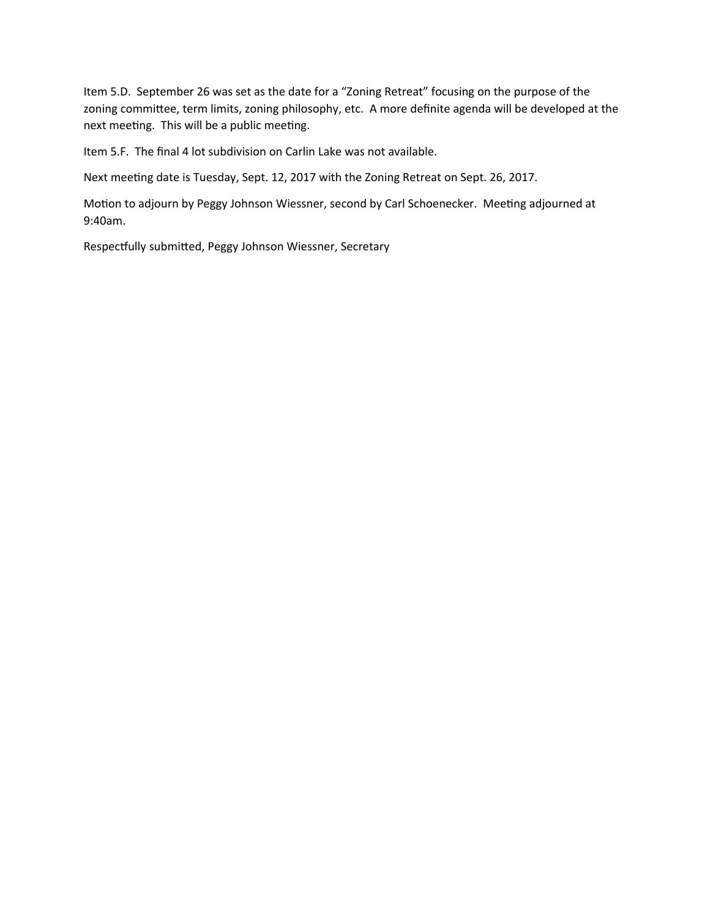Item 5.D. September 26 was set as the date for a "Zoning Retreat" focusing on the purpose of the zoning committee, term limits, zoning philosophy, etc. A more definite agenda will be developed at the next meeting. This will be a public meeting.

Item 5.F. The final 4 lot subdivision on Carlin Lake was not available.

Next meetng date is Tuesday, Sept. 12, 2017 with the Zoning Retreat on Sept. 26, 2017.

Motion to adjourn by Peggy Johnson Wiessner, second by Carl Schoenecker. Meeting adjourned at 9:40am.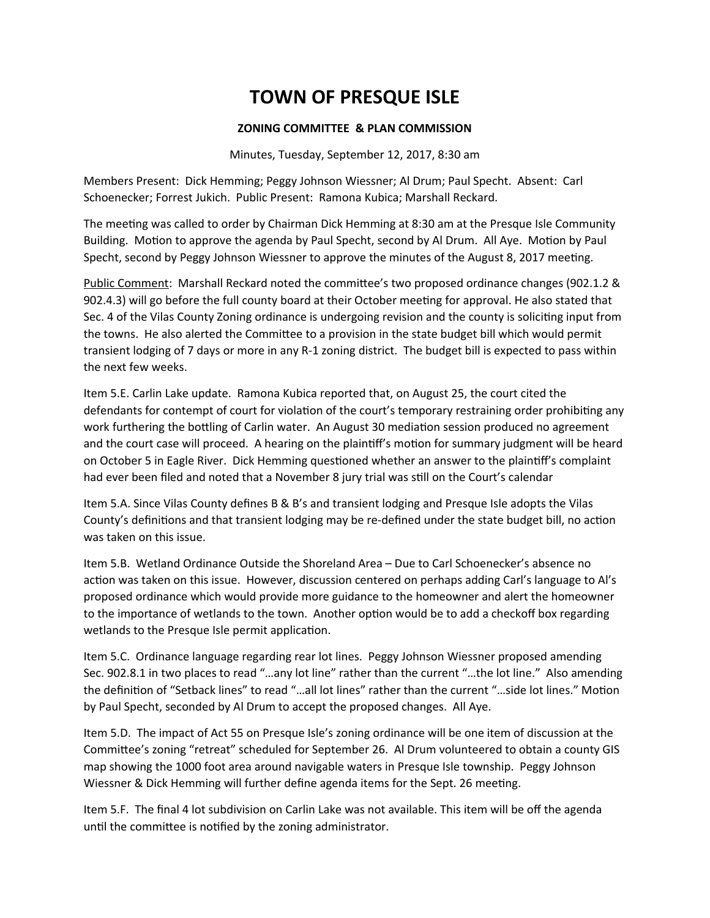### **ZONING COMMITTEE & PLAN COMMISSION**

Minutes, Tuesday, September 12, 2017, 8:30 am

Members Present: Dick Hemming; Peggy Johnson Wiessner; Al Drum; Paul Specht. Absent: Carl Schoenecker; Forrest Jukich. Public Present: Ramona Kubica; Marshall Reckard.

The meeting was called to order by Chairman Dick Hemming at 8:30 am at the Presque Isle Community Building. Motion to approve the agenda by Paul Specht, second by Al Drum. All Aye. Motion by Paul Specht, second by Peggy Johnson Wiessner to approve the minutes of the August 8, 2017 meetng.

Public Comment: Marshall Reckard noted the committee's two proposed ordinance changes (902.1.2 & 902.4.3) will go before the full county board at their October meeting for approval. He also stated that Sec. 4 of the Vilas County Zoning ordinance is undergoing revision and the county is solicitng input from the towns. He also alerted the Committee to a provision in the state budget bill which would permit transient lodging of 7 days or more in any R-1 zoning district. The budget bill is expected to pass within the next few weeks.

Item 5.E. Carlin Lake update. Ramona Kubica reported that, on August 25, the court cited the defendants for contempt of court for violation of the court's temporary restraining order prohibiting any work furthering the bottling of Carlin water. An August 30 mediation session produced no agreement and the court case will proceed. A hearing on the plaintiff's motion for summary judgment will be heard on October 5 in Eagle River. Dick Hemming questioned whether an answer to the plaintiff's complaint had ever been filed and noted that a November 8 jury trial was still on the Court's calendar

Item 5.A. Since Vilas County defnes B & B's and transient lodging and Presque Isle adopts the Vilas County's definitions and that transient lodging may be re-defined under the state budget bill, no action was taken on this issue.

Item 5.B. Wetland Ordinance Outside the Shoreland Area – Due to Carl Schoenecker's absence no action was taken on this issue. However, discussion centered on perhaps adding Carl's language to Al's proposed ordinance which would provide more guidance to the homeowner and alert the homeowner to the importance of wetlands to the town. Another option would be to add a checkoff box regarding wetlands to the Presque Isle permit application.

Item 5.C. Ordinance language regarding rear lot lines. Peggy Johnson Wiessner proposed amending Sec. 902.8.1 in two places to read "...any lot line" rather than the current "...the lot line." Also amending the defniton of "Setback lines" to read "…all lot lines" rather than the current "…side lot lines." Moton by Paul Specht, seconded by Al Drum to accept the proposed changes. All Aye.

Item 5.D. The impact of Act 55 on Presque Isle's zoning ordinance will be one item of discussion at the Commitee's zoning "retreat" scheduled for September 26. Al Drum volunteered to obtain a county GIS map showing the 1000 foot area around navigable waters in Presque Isle township. Peggy Johnson Wiessner & Dick Hemming will further define agenda items for the Sept. 26 meeting.

Item 5.F. The final 4 lot subdivision on Carlin Lake was not available. This item will be off the agenda until the committee is notified by the zoning administrator.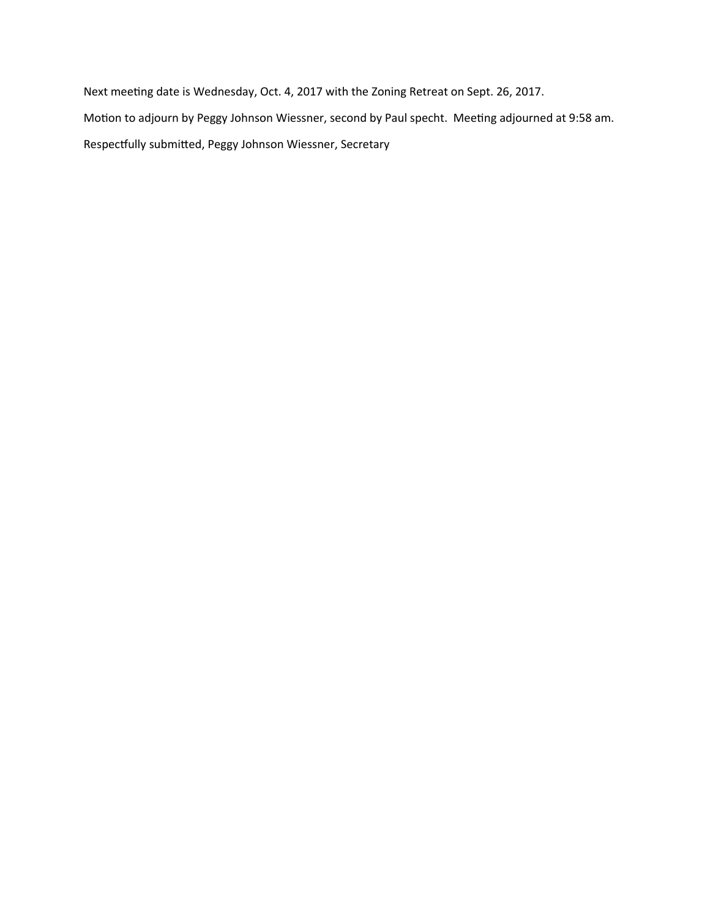Next meeting date is Wednesday, Oct. 4, 2017 with the Zoning Retreat on Sept. 26, 2017. Motion to adjourn by Peggy Johnson Wiessner, second by Paul specht. Meeting adjourned at 9:58 am. Respectfully submitted, Peggy Johnson Wiessner, Secretary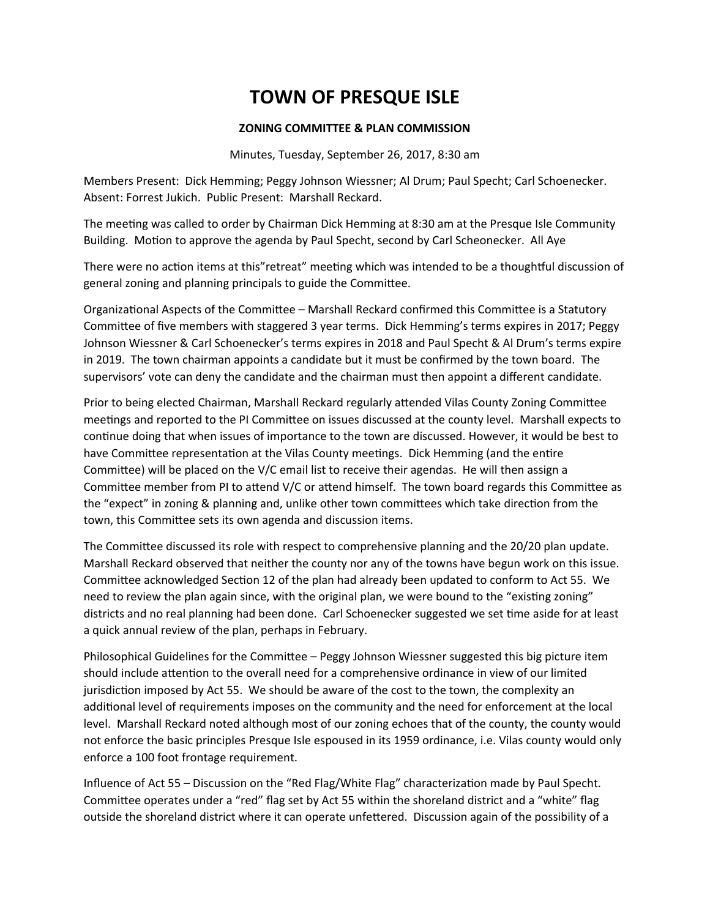#### **ZONING COMMITTEE & PLAN COMMISSION**

Minutes, Tuesday, September 26, 2017, 8:30 am

Members Present: Dick Hemming; Peggy Johnson Wiessner; Al Drum; Paul Specht; Carl Schoenecker. Absent: Forrest Jukich. Public Present: Marshall Reckard.

The meeting was called to order by Chairman Dick Hemming at 8:30 am at the Presque Isle Community Building. Motion to approve the agenda by Paul Specht, second by Carl Scheonecker. All Aye

There were no action items at this"retreat" meeting which was intended to be a thoughtful discussion of general zoning and planning principals to guide the Commitee.

Organizational Aspects of the Committee – Marshall Reckard confirmed this Committee is a Statutory Committee of five members with staggered 3 year terms. Dick Hemming's terms expires in 2017; Peggy Johnson Wiessner & Carl Schoenecker's terms expires in 2018 and Paul Specht & Al Drum's terms expire in 2019. The town chairman appoints a candidate but it must be confirmed by the town board. The supervisors' vote can deny the candidate and the chairman must then appoint a different candidate.

Prior to being elected Chairman, Marshall Reckard regularly atended Vilas County Zoning Commitee meetngs and reported to the PI Commitee on issues discussed at the county level. Marshall expects to continue doing that when issues of importance to the town are discussed. However, it would be best to have Committee representation at the Vilas County meetings. Dick Hemming (and the entire Committee) will be placed on the V/C email list to receive their agendas. He will then assign a Committee member from PI to attend V/C or attend himself. The town board regards this Committee as the "expect" in zoning & planning and, unlike other town committees which take direction from the town, this Committee sets its own agenda and discussion items.

The Committee discussed its role with respect to comprehensive planning and the 20/20 plan update. Marshall Reckard observed that neither the county nor any of the towns have begun work on this issue. Committee acknowledged Section 12 of the plan had already been updated to conform to Act 55. We need to review the plan again since, with the original plan, we were bound to the "existing zoning" districts and no real planning had been done. Carl Schoenecker suggested we set time aside for at least a quick annual review of the plan, perhaps in February.

Philosophical Guidelines for the Commitee – Peggy Johnson Wiessner suggested this big picture item should include attention to the overall need for a comprehensive ordinance in view of our limited jurisdiction imposed by Act 55. We should be aware of the cost to the town, the complexity an additonal level of requirements imposes on the community and the need for enforcement at the local level. Marshall Reckard noted although most of our zoning echoes that of the county, the county would not enforce the basic principles Presque Isle espoused in its 1959 ordinance, i.e. Vilas county would only enforce a 100 foot frontage requirement.

Infuence of Act 55 – Discussion on the "Red Flag/White Flag" characterizaton made by Paul Specht. Committee operates under a "red" flag set by Act 55 within the shoreland district and a "white" flag outside the shoreland district where it can operate unfettered. Discussion again of the possibility of a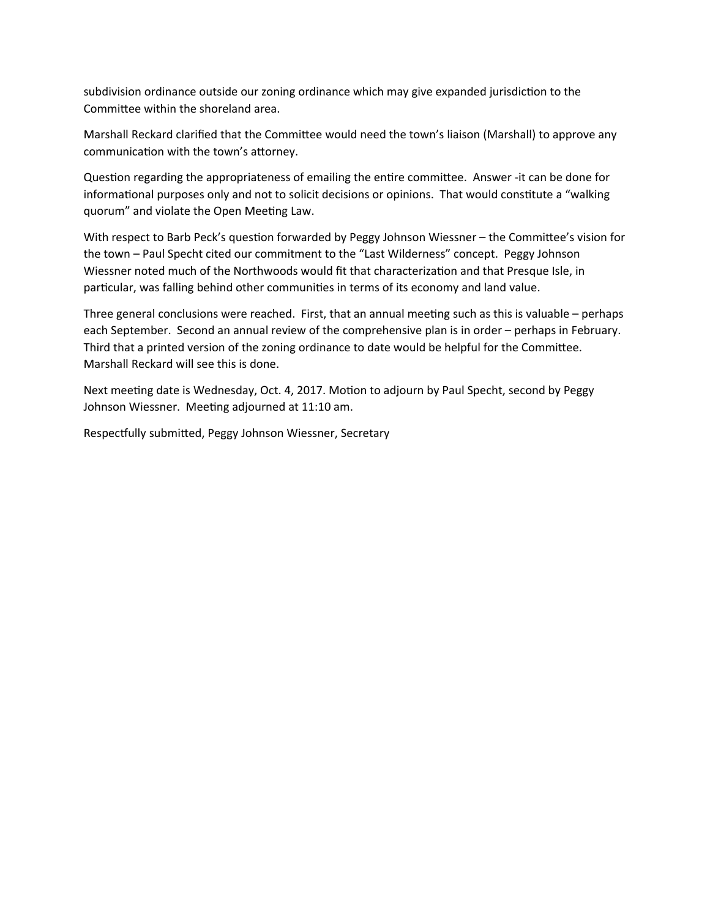subdivision ordinance outside our zoning ordinance which may give expanded jurisdiction to the Committee within the shoreland area.

Marshall Reckard clarified that the Committee would need the town's liaison (Marshall) to approve any communication with the town's attorney.

Question regarding the appropriateness of emailing the entire committee. Answer -it can be done for informational purposes only and not to solicit decisions or opinions. That would constitute a "walking quorum" and violate the Open Meeting Law.

With respect to Barb Peck's question forwarded by Peggy Johnson Wiessner – the Committee's vision for the town - Paul Specht cited our commitment to the "Last Wilderness" concept. Peggy Johnson Wiessner noted much of the Northwoods would fit that characterization and that Presque Isle, in particular, was falling behind other communities in terms of its economy and land value.

Three general conclusions were reached. First, that an annual meeting such as this is valuable  $-$  perhaps each September. Second an annual review of the comprehensive plan is in order – perhaps in February. Third that a printed version of the zoning ordinance to date would be helpful for the Committee. Marshall Reckard will see this is done.

Next meeting date is Wednesday, Oct. 4, 2017. Motion to adjourn by Paul Specht, second by Peggy Johnson Wiessner. Meeting adjourned at 11:10 am.